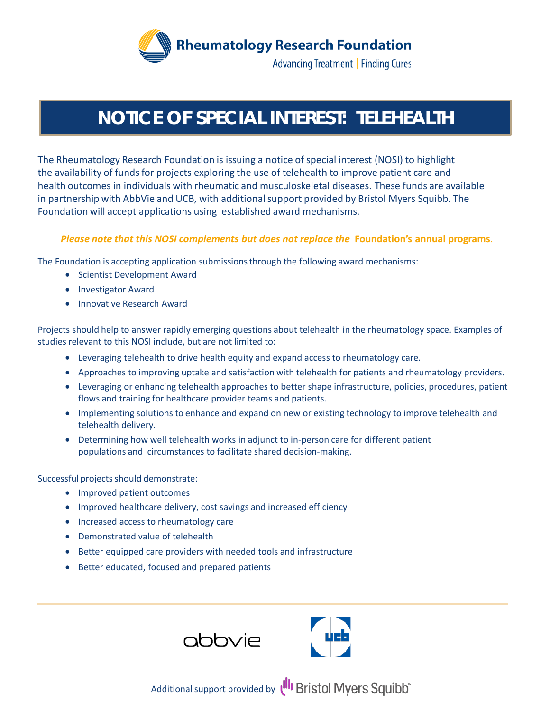

### **NOTICE OF SPECIAL INTEREST: TELEHEALTH**

The Rheumatology Research Foundation is issuing a notice of special interest (NOSI) to highlight the availability of funds for projects exploring the use of telehealth to improve patient care and health outcomes in individuals with rheumatic and musculoskeletal diseases. These funds are available in partnership with AbbVie and UCB, with additional support provided by Bristol Myers Squibb. The Foundation will accept applications using established award mechanisms.

#### *Please note that this NOSI complements but does not replace the* **Foundation's annual programs**.

The Foundation is accepting application submissions through the following award mechanisms:

- Scientist Development Award
- Investigator Award
- Innovative Research Award

Projects should help to answer rapidly emerging questions about telehealth in the rheumatology space. Examples of studies relevant to this NOSI include, but are not limited to:

- Leveraging telehealth to drive health equity and expand access to rheumatology care.
- Approaches to improving uptake and satisfaction with telehealth for patients and rheumatology providers.
- Leveraging or enhancing telehealth approaches to better shape infrastructure, policies, procedures, patient flows and training for healthcare provider teams and patients.
- Implementing solutions to enhance and expand on new or existing technology to improve telehealth and telehealth delivery.
- Determining how well telehealth works in adjunct to in-person care for different patient populations and circumstances to facilitate shared decision-making.

Successful projects should demonstrate:

- Improved patient outcomes
- Improved healthcare delivery, cost savings and increased efficiency
- Increased access to rheumatology care
- Demonstrated value of telehealth
- Better equipped care providers with needed tools and infrastructure
- Better educated, focused and prepared patients